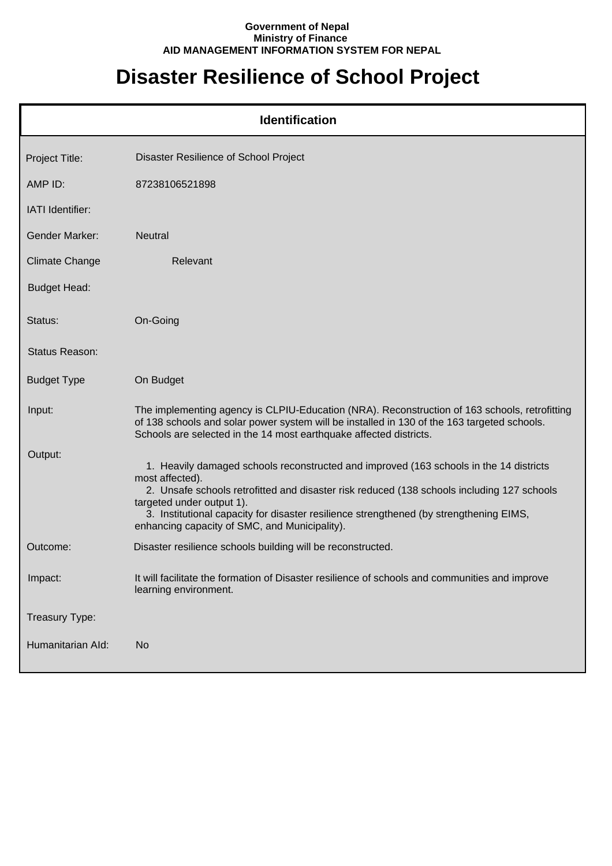## **Government of Nepal Ministry of Finance AID MANAGEMENT INFORMATION SYSTEM FOR NEPAL**

## **Disaster Resilience of School Project**

| <b>Identification</b> |                                                                                                                                                                                                                                                                                                                                                                                 |  |
|-----------------------|---------------------------------------------------------------------------------------------------------------------------------------------------------------------------------------------------------------------------------------------------------------------------------------------------------------------------------------------------------------------------------|--|
| Project Title:        | Disaster Resilience of School Project                                                                                                                                                                                                                                                                                                                                           |  |
| AMP ID:               | 87238106521898                                                                                                                                                                                                                                                                                                                                                                  |  |
| IATI Identifier:      |                                                                                                                                                                                                                                                                                                                                                                                 |  |
| Gender Marker:        | <b>Neutral</b>                                                                                                                                                                                                                                                                                                                                                                  |  |
| <b>Climate Change</b> | Relevant                                                                                                                                                                                                                                                                                                                                                                        |  |
| <b>Budget Head:</b>   |                                                                                                                                                                                                                                                                                                                                                                                 |  |
| Status:               | On-Going                                                                                                                                                                                                                                                                                                                                                                        |  |
| <b>Status Reason:</b> |                                                                                                                                                                                                                                                                                                                                                                                 |  |
| <b>Budget Type</b>    | On Budget                                                                                                                                                                                                                                                                                                                                                                       |  |
| Input:                | The implementing agency is CLPIU-Education (NRA). Reconstruction of 163 schools, retrofitting<br>of 138 schools and solar power system will be installed in 130 of the 163 targeted schools.<br>Schools are selected in the 14 most earthquake affected districts.                                                                                                              |  |
| Output:               | 1. Heavily damaged schools reconstructed and improved (163 schools in the 14 districts<br>most affected).<br>2. Unsafe schools retrofitted and disaster risk reduced (138 schools including 127 schools<br>targeted under output 1).<br>3. Institutional capacity for disaster resilience strengthened (by strengthening EIMS,<br>enhancing capacity of SMC, and Municipality). |  |
| Outcome:              | Disaster resilience schools building will be reconstructed.                                                                                                                                                                                                                                                                                                                     |  |
| Impact:               | It will facilitate the formation of Disaster resilience of schools and communities and improve<br>learning environment.                                                                                                                                                                                                                                                         |  |
| Treasury Type:        |                                                                                                                                                                                                                                                                                                                                                                                 |  |
| Humanitarian Ald:     | <b>No</b>                                                                                                                                                                                                                                                                                                                                                                       |  |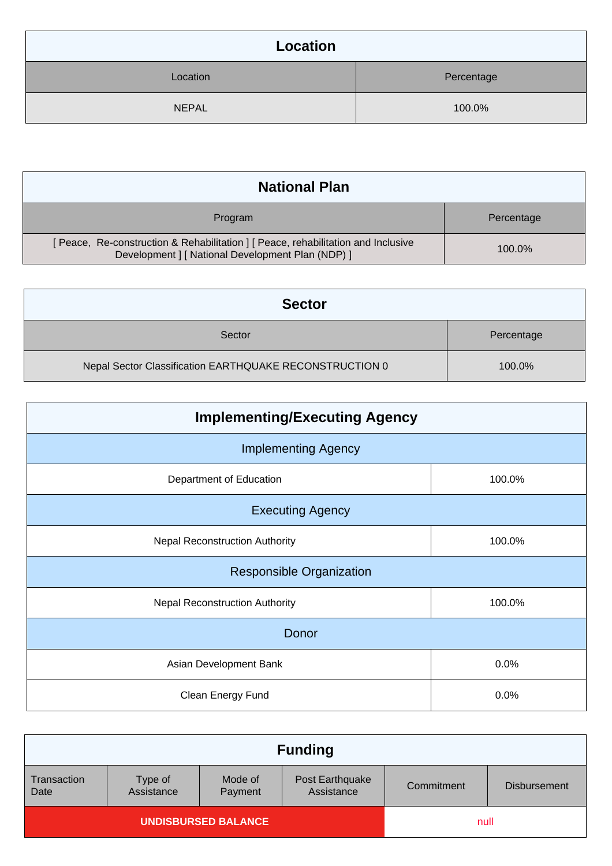| Location     |            |  |
|--------------|------------|--|
| Location     | Percentage |  |
| <b>NEPAL</b> | 100.0%     |  |

| <b>National Plan</b>                                                                                                                 |            |  |
|--------------------------------------------------------------------------------------------------------------------------------------|------------|--|
| Program                                                                                                                              | Percentage |  |
| [Peace, Re-construction & Rehabilitation ] [Peace, rehabilitation and Inclusive<br>Development   [ National Development Plan (NDP) ] | 100.0%     |  |

| <b>Sector</b>                                           |            |
|---------------------------------------------------------|------------|
| Sector                                                  | Percentage |
| Nepal Sector Classification EARTHQUAKE RECONSTRUCTION 0 | 100.0%     |

| <b>Implementing/Executing Agency</b>  |        |  |  |
|---------------------------------------|--------|--|--|
| <b>Implementing Agency</b>            |        |  |  |
| Department of Education               | 100.0% |  |  |
| <b>Executing Agency</b>               |        |  |  |
| <b>Nepal Reconstruction Authority</b> | 100.0% |  |  |
| <b>Responsible Organization</b>       |        |  |  |
| <b>Nepal Reconstruction Authority</b> | 100.0% |  |  |
| Donor                                 |        |  |  |
| Asian Development Bank                | 0.0%   |  |  |
| Clean Energy Fund                     | 0.0%   |  |  |

| <b>Funding</b>      |                       |                            |                               |            |                     |
|---------------------|-----------------------|----------------------------|-------------------------------|------------|---------------------|
| Transaction<br>Date | Type of<br>Assistance | Mode of<br>Payment         | Post Earthquake<br>Assistance | Commitment | <b>Disbursement</b> |
|                     |                       | <b>UNDISBURSED BALANCE</b> |                               | null       |                     |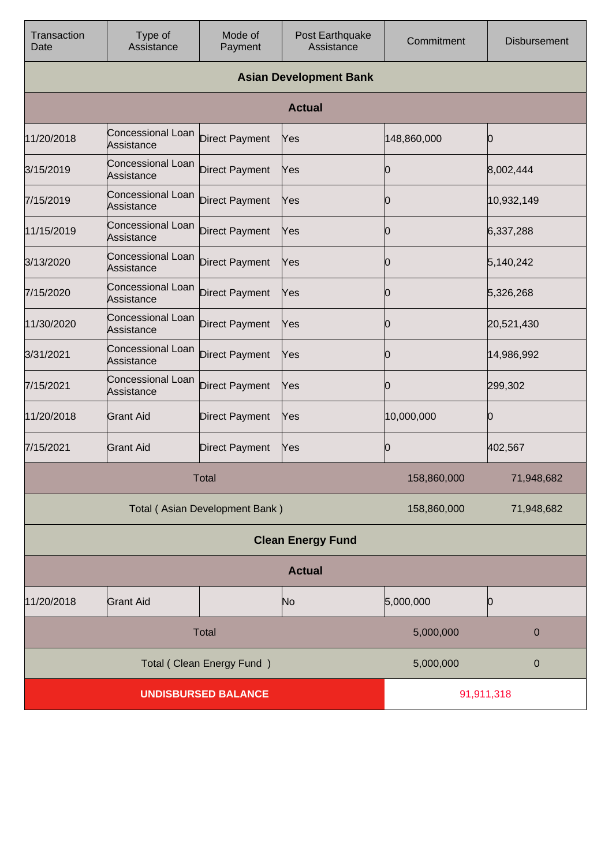| Transaction<br>Date      | Type of<br>Assistance                  | Mode of<br>Payment             | Post Earthquake<br>Assistance | Commitment  | <b>Disbursement</b> |
|--------------------------|----------------------------------------|--------------------------------|-------------------------------|-------------|---------------------|
|                          |                                        |                                | <b>Asian Development Bank</b> |             |                     |
|                          |                                        |                                | <b>Actual</b>                 |             |                     |
| 11/20/2018               | Concessional Loan<br>Assistance        | <b>Direct Payment</b>          | Yes                           | 148,860,000 | Ю                   |
| 3/15/2019                | Concessional Loan<br>Assistance        | <b>Direct Payment</b>          | Yes                           | Ю           | 8,002,444           |
| 7/15/2019                | <b>Concessional Loan</b><br>Assistance | <b>Direct Payment</b>          | Yes                           | O           | 10,932,149          |
| 11/15/2019               | Concessional Loan<br>Assistance        | <b>Direct Payment</b>          | Yes                           | 0           | 6,337,288           |
| 3/13/2020                | <b>Concessional Loan</b><br>Assistance | <b>Direct Payment</b>          | Yes                           | 0           | 5,140,242           |
| 7/15/2020                | <b>Concessional Loan</b><br>Assistance | <b>Direct Payment</b>          | Yes                           | 0           | 5,326,268           |
| 11/30/2020               | <b>Concessional Loan</b><br>Assistance | <b>Direct Payment</b>          | Yes                           | 0           | 20,521,430          |
| 3/31/2021                | <b>Concessional Loan</b><br>Assistance | <b>Direct Payment</b>          | Yes                           | 10          | 14,986,992          |
| 7/15/2021                | <b>Concessional Loan</b><br>Assistance | <b>Direct Payment</b>          | Yes                           | Ю           | 299,302             |
| 11/20/2018               | <b>Grant Aid</b>                       | <b>Direct Payment</b>          | Yes                           | 10,000,000  | Ю                   |
| 7/15/2021                | <b>Grant Aid</b>                       | <b>Direct Payment</b>          | Yes                           | 0           | 402,567             |
| Total                    |                                        |                                | 158,860,000                   | 71,948,682  |                     |
|                          |                                        | Total (Asian Development Bank) |                               | 158,860,000 | 71,948,682          |
| <b>Clean Energy Fund</b> |                                        |                                |                               |             |                     |
| <b>Actual</b>            |                                        |                                |                               |             |                     |
| 11/20/2018               | <b>Grant Aid</b>                       |                                | N <sub>o</sub>                | 5,000,000   | Ю                   |
| Total                    |                                        |                                | 5,000,000                     | $\pmb{0}$   |                     |
|                          | Total (Clean Energy Fund)              |                                |                               | 5,000,000   | 0                   |
|                          | <b>UNDISBURSED BALANCE</b>             |                                |                               | 91,911,318  |                     |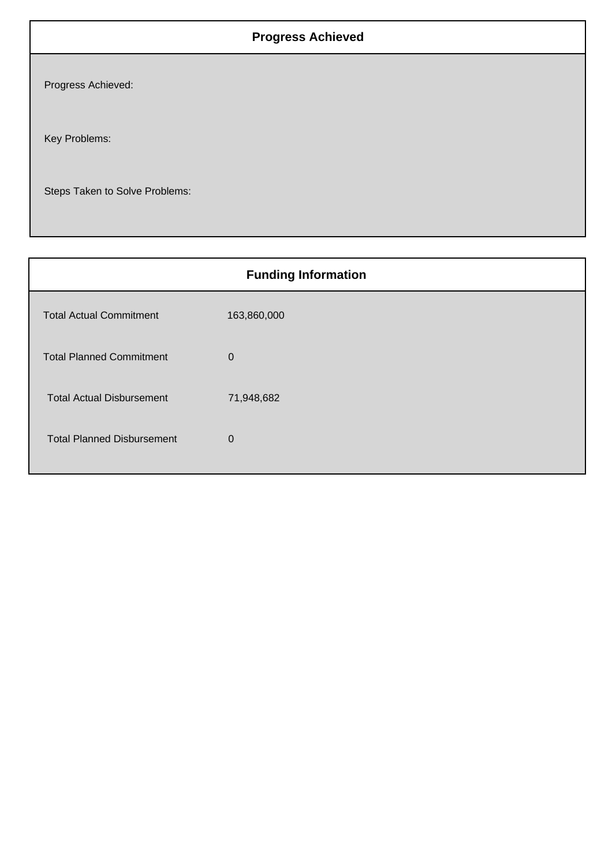## **Progress Achieved**

Progress Achieved:

Key Problems:

Steps Taken to Solve Problems:

| <b>Funding Information</b>        |             |  |  |
|-----------------------------------|-------------|--|--|
| <b>Total Actual Commitment</b>    | 163,860,000 |  |  |
| <b>Total Planned Commitment</b>   | $\mathbf 0$ |  |  |
| <b>Total Actual Disbursement</b>  | 71,948,682  |  |  |
| <b>Total Planned Disbursement</b> | $\Omega$    |  |  |